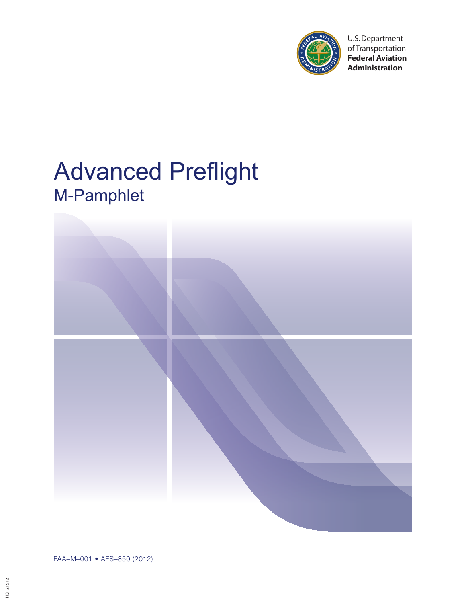

U.S. Department of Transportation **Federal Aviation Administration**

# Advanced Preflight M-Pamphlet



FAA–M–001 • AFS–850 (2012)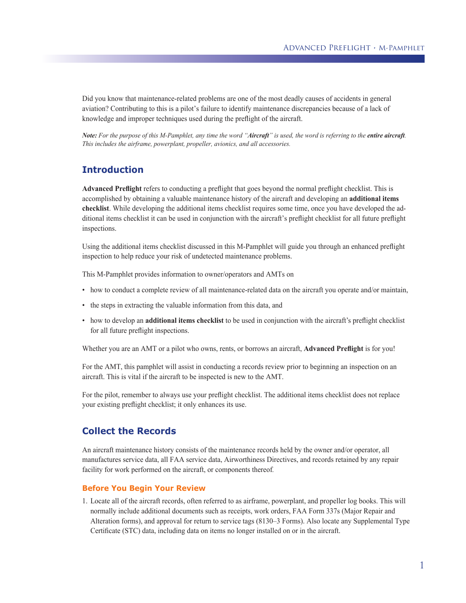Did you know that maintenance-related problems are one of the most deadly causes of accidents in general aviation? Contributing to this is a pilot's failure to identify maintenance discrepancies because of a lack of knowledge and improper techniques used during the preflight of the aircraft.

*Note: For the purpose of this M-Pamphlet, any time the word "Aircraft" is used, the word is referring to the entire aircraft. This includes the airframe, powerplant, propeller, avionics, and all accessories.*

# **Introduction**

**Advanced Preflight** refers to conducting a preflight that goes beyond the normal preflight checklist. This is accomplished by obtaining a valuable maintenance history of the aircraft and developing an **additional items checklist**. While developing the additional items checklist requires some time, once you have developed the additional items checklist it can be used in conjunction with the aircraft's preflight checklist for all future preflight inspections.

Using the additional items checklist discussed in this M-Pamphlet will guide you through an enhanced preflight inspection to help reduce your risk of undetected maintenance problems.

This M-Pamphlet provides information to owner/operators and AMTs on

- how to conduct a complete review of all maintenance-related data on the aircraft you operate and/or maintain,
- the steps in extracting the valuable information from this data, and
- how to develop an **additional items checklist** to be used in conjunction with the aircraft's preflight checklist for all future preflight inspections.

Whether you are an AMT or a pilot who owns, rents, or borrows an aircraft, **Advanced Preflight** is for you!

For the AMT, this pamphlet will assist in conducting a records review prior to beginning an inspection on an aircraft. This is vital if the aircraft to be inspected is new to the AMT.

For the pilot, remember to always use your preflight checklist. The additional items checklist does not replace your existing preflight checklist; it only enhances its use.

## **Collect the Records**

An aircraft maintenance history consists of the maintenance records held by the owner and/or operator, all manufactures service data, all FAA service data, Airworthiness Directives, and records retained by any repair facility for work performed on the aircraft, or components thereof*.*

#### **Before You Begin Your Review**

1. Locate all of the aircraft records, often referred to as airframe, powerplant, and propeller log books. This will normally include additional documents such as receipts, work orders, FAA Form 337s (Major Repair and Alteration forms), and approval for return to service tags (8130–3 Forms). Also locate any Supplemental Type Certificate (STC) data, including data on items no longer installed on or in the aircraft.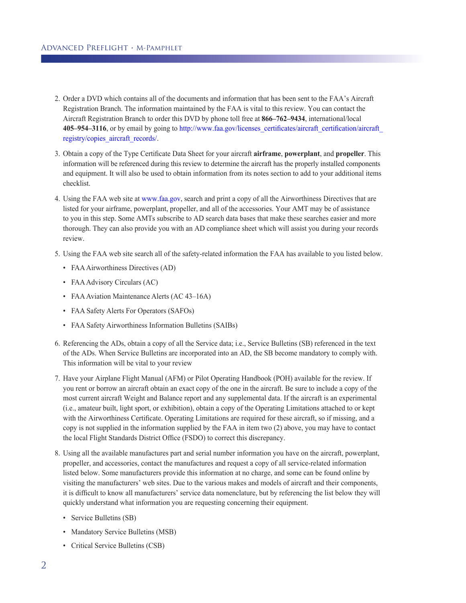- 2. Order a DVD which contains all of the documents and information that has been sent to the FAA's Aircraft Registration Branch. The information maintained by the FAA is vital to this review. You can contact the Aircraft Registration Branch to order this DVD by phone toll free at **866–762–9434**, international/local **405–954–3116**, or by email by going to http://www.faa.gov/licenses\_certificates/aircraft\_certification/aircraft\_ registry/copies\_aircraft\_records/.
- 3. Obtain a copy of the Type Certificate Data Sheet for your aircraft **airframe**, **powerplant**, and **propeller**. This information will be referenced during this review to determine the aircraft has the properly installed components and equipment. It will also be used to obtain information from its notes section to add to your additional items checklist.
- 4. Using the FAA web site at www.faa.gov, search and print a copy of all the Airworthiness Directives that are listed for your airframe, powerplant, propeller, and all of the accessories. Your AMT may be of assistance to you in this step. Some AMTs subscribe to AD search data bases that make these searches easier and more thorough. They can also provide you with an AD compliance sheet which will assist you during your records review.
- 5. Using the FAA web site search all of the safety-related information the FAA has available to you listed below.
	- FAA Airworthiness Directives (AD)
	- FAA Advisory Circulars (AC)
	- FAA Aviation Maintenance Alerts (AC 43–16A)
	- FAA Safety Alerts For Operators (SAFOs)
	- FAA Safety Airworthiness Information Bulletins (SAIBs)
- 6. Referencing the ADs, obtain a copy of all the Service data; i.e., Service Bulletins (SB) referenced in the text of the ADs. When Service Bulletins are incorporated into an AD, the SB become mandatory to comply with. This information will be vital to your review
- 7. Have your Airplane Flight Manual (AFM) or Pilot Operating Handbook (POH) available for the review. If you rent or borrow an aircraft obtain an exact copy of the one in the aircraft. Be sure to include a copy of the most current aircraft Weight and Balance report and any supplemental data. If the aircraft is an experimental (i.e., amateur built, light sport, or exhibition), obtain a copy of the Operating Limitations attached to or kept with the Airworthiness Certificate. Operating Limitations are required for these aircraft, so if missing, and a copy is not supplied in the information supplied by the FAA in item two (2) above, you may have to contact the local Flight Standards District Office (FSDO) to correct this discrepancy.
- 8. Using all the available manufactures part and serial number information you have on the aircraft, powerplant, propeller, and accessories, contact the manufactures and request a copy of all service-related information listed below. Some manufacturers provide this information at no charge, and some can be found online by visiting the manufacturers' web sites. Due to the various makes and models of aircraft and their components, it is difficult to know all manufacturers' service data nomenclature, but by referencing the list below they will quickly understand what information you are requesting concerning their equipment.
	- Service Bulletins (SB)
	- Mandatory Service Bulletins (MSB)
	- Critical Service Bulletins (CSB)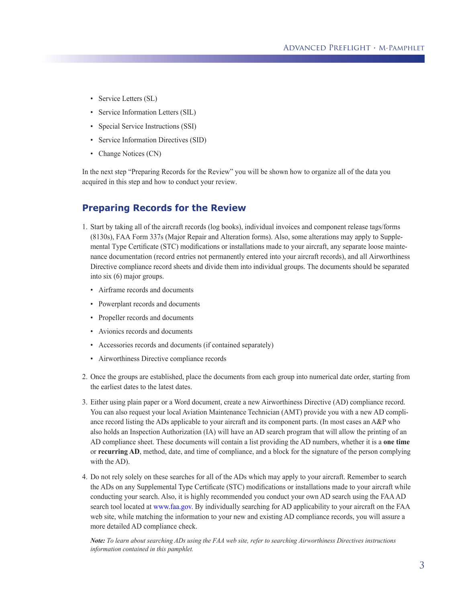- Service Letters (SL)
- Service Information Letters (SIL)
- Special Service Instructions (SSI)
- Service Information Directives (SID)
- Change Notices (CN)

In the next step "Preparing Records for the Review" you will be shown how to organize all of the data you acquired in this step and how to conduct your review.

## **Preparing Records for the Review**

- 1. Start by taking all of the aircraft records (log books), individual invoices and component release tags/forms (8130s), FAA Form 337s (Major Repair and Alteration forms). Also, some alterations may apply to Supplemental Type Certificate (STC) modifications or installations made to your aircraft, any separate loose maintenance documentation (record entries not permanently entered into your aircraft records), and all Airworthiness Directive compliance record sheets and divide them into individual groups. The documents should be separated into six (6) major groups.
	- Airframe records and documents
	- Powerplant records and documents
	- Propeller records and documents
	- Avionics records and documents
	- Accessories records and documents (if contained separately)
	- Airworthiness Directive compliance records
- 2. Once the groups are established, place the documents from each group into numerical date order, starting from the earliest dates to the latest dates.
- 3. Either using plain paper or a Word document, create a new Airworthiness Directive (AD) compliance record. You can also request your local Aviation Maintenance Technician (AMT) provide you with a new AD compliance record listing the ADs applicable to your aircraft and its component parts. (In most cases an A&P who also holds an Inspection Authorization (IA) will have an AD search program that will allow the printing of an AD compliance sheet. These documents will contain a list providing the AD numbers, whether it is a **one time** or **recurring AD**, method, date, and time of compliance, and a block for the signature of the person complying with the AD).
- 4. Do not rely solely on these searches for all of the ADs which may apply to your aircraft. Remember to search the ADs on any Supplemental Type Certificate (STC) modifications or installations made to your aircraft while conducting your search. Also, it is highly recommended you conduct your own AD search using the FAA AD search tool located at www.faa.gov. By individually searching for AD applicability to your aircraft on the FAA web site, while matching the information to your new and existing AD compliance records, you will assure a more detailed AD compliance check.

*Note: To learn about searching ADs using the FAA web site, refer to searching Airworthiness Directives instructions information contained in this pamphlet.*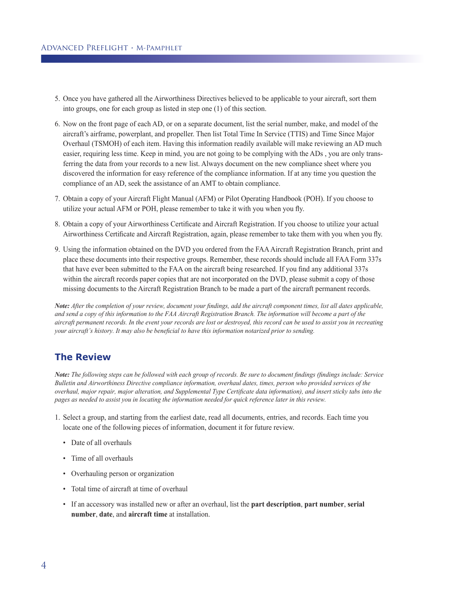- 5. Once you have gathered all the Airworthiness Directives believed to be applicable to your aircraft, sort them into groups, one for each group as listed in step one (1) of this section.
- 6. Now on the front page of each AD, or on a separate document, list the serial number, make, and model of the aircraft's airframe, powerplant, and propeller. Then list Total Time In Service (TTIS) and Time Since Major Overhaul (TSMOH) of each item. Having this information readily available will make reviewing an AD much easier, requiring less time. Keep in mind, you are not going to be complying with the ADs , you are only transferring the data from your records to a new list. Always document on the new compliance sheet where you discovered the information for easy reference of the compliance information. If at any time you question the compliance of an AD, seek the assistance of an AMT to obtain compliance.
- 7. Obtain a copy of your Aircraft Flight Manual (AFM) or Pilot Operating Handbook (POH). If you choose to utilize your actual AFM or POH, please remember to take it with you when you fly.
- 8. Obtain a copy of your Airworthiness Certificate and Aircraft Registration. If you choose to utilize your actual Airworthiness Certificate and Aircraft Registration, again, please remember to take them with you when you fly.
- 9. Using the information obtained on the DVD you ordered from the FAA Aircraft Registration Branch, print and place these documents into their respective groups. Remember, these records should include all FAA Form 337s that have ever been submitted to the FAA on the aircraft being researched. If you find any additional 337s within the aircraft records paper copies that are not incorporated on the DVD, please submit a copy of those missing documents to the Aircraft Registration Branch to be made a part of the aircraft permanent records.

*Note: After the completion of your review, document your findings, add the aircraft component times, list all dates applicable, and send a copy of this information to the FAA Aircraft Registration Branch. The information will become a part of the aircraft permanent records. In the event your records are lost or destroyed, this record can be used to assist you in recreating your aircraft's history. It may also be beneficial to have this information notarized prior to sending.*

# **The Review**

*Note: The following steps can be followed with each group of records. Be sure to document findings (findings include: Service Bulletin and Airworthiness Directive compliance information, overhaul dates, times, person who provided services of the overhaul, major repair, major alteration, and Supplemental Type Certificate data information), and insert sticky tabs into the pages as needed to assist you in locating the information needed for quick reference later in this review.*

- 1. Select a group, and starting from the earliest date, read all documents, entries, and records. Each time you locate one of the following pieces of information, document it for future review.
	- Date of all overhauls
	- Time of all overhauls
	- Overhauling person or organization
	- Total time of aircraft at time of overhaul
	- If an accessory was installed new or after an overhaul, list the **part description**, **part number**, **serial number**, **date**, and **aircraft time** at installation.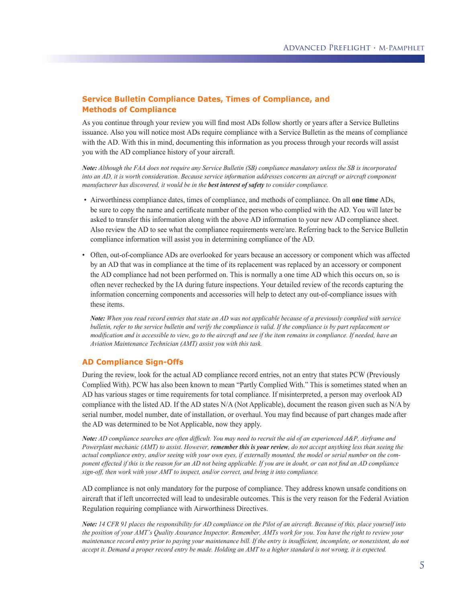## **Service Bulletin Compliance Dates, Times of Compliance, and Methods of Compliance**

As you continue through your review you will find most ADs follow shortly or years after a Service Bulletins issuance. Also you will notice most ADs require compliance with a Service Bulletin as the means of compliance with the AD. With this in mind, documenting this information as you process through your records will assist you with the AD compliance history of your aircraft.

*Note: Although the FAA does not require any Service Bulletin (SB) compliance mandatory unless the SB is incorporated into an AD, it is worth consideration. Because service information addresses concerns an aircraft or aircraft component manufacturer has discovered, it would be in the best interest of safety to consider compliance.*

- Airworthiness compliance dates, times of compliance, and methods of compliance. On all **one time** ADs, be sure to copy the name and certificate number of the person who complied with the AD. You will later be asked to transfer this information along with the above AD information to your new AD compliance sheet. Also review the AD to see what the compliance requirements were/are. Referring back to the Service Bulletin compliance information will assist you in determining compliance of the AD.
- Often, out-of-compliance ADs are overlooked for years because an accessory or component which was affected by an AD that was in compliance at the time of its replacement was replaced by an accessory or component the AD compliance had not been performed on. This is normally a one time AD which this occurs on, so is often never rechecked by the IA during future inspections. Your detailed review of the records capturing the information concerning components and accessories will help to detect any out-of-compliance issues with these items.

*Note: When you read record entries that state an AD was not applicable because of a previously complied with service bulletin, refer to the service bulletin and verify the compliance is valid. If the compliance is by part replacement or modification and is accessible to view, go to the aircraft and see if the item remains in compliance. If needed, have an Aviation Maintenance Technician (AMT) assist you with this task.*

#### **AD Compliance Sign-Offs**

During the review, look for the actual AD compliance record entries, not an entry that states PCW (Previously Complied With). PCW has also been known to mean "Partly Complied With." This is sometimes stated when an AD has various stages or time requirements for total compliance. If misinterpreted, a person may overlook AD compliance with the listed AD. If the AD states N/A (Not Applicable), document the reason given such as N/A by serial number, model number, date of installation, or overhaul. You may find because of part changes made after the AD was determined to be Not Applicable, now they apply.

*Note: AD compliance searches are often difficult. You may need to recruit the aid of an experienced A&P, Airframe and Powerplant mechanic (AMT) to assist. However, remember this is your review, do not accept anything less than seeing the actual compliance entry, and/or seeing with your own eyes, if externally mounted, the model or serial number on the component effected if this is the reason for an AD not being applicable. If you are in doubt, or can not find an AD compliance sign-off, then work with your AMT to inspect, and/or correct, and bring it into compliance.*

AD compliance is not only mandatory for the purpose of compliance. They address known unsafe conditions on aircraft that if left uncorrected will lead to undesirable outcomes. This is the very reason for the Federal Aviation Regulation requiring compliance with Airworthiness Directives.

*Note: 14 CFR 91 places the responsibility for AD compliance on the Pilot of an aircraft. Because of this, place yourself into the position of your AMT's Quality Assurance Inspector. Remember, AMTs work for you. You have the right to review your maintenance record entry prior to paying your maintenance bill. If the entry is insufficient, incomplete, or nonexistent, do not accept it. Demand a proper record entry be made. Holding an AMT to a higher standard is not wrong, it is expected.*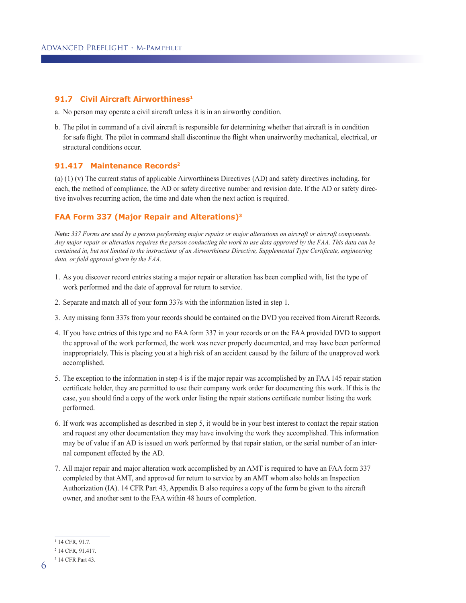#### **91.7 Civil Aircraft Airworthiness1**

- a. No person may operate a civil aircraft unless it is in an airworthy condition.
- b. The pilot in command of a civil aircraft is responsible for determining whether that aircraft is in condition for safe flight. The pilot in command shall discontinue the flight when unairworthy mechanical, electrical, or structural conditions occur.

#### **91.417 Maintenance Records2**

(a) (1) (v) The current status of applicable Airworthiness Directives (AD) and safety directives including, for each, the method of compliance, the AD or safety directive number and revision date. If the AD or safety directive involves recurring action, the time and date when the next action is required.

## **FAA Form 337 (Major Repair and Alterations)3**

*Note: 337 Forms are used by a person performing major repairs or major alterations on aircraft or aircraft components. Any major repair or alteration requires the person conducting the work to use data approved by the FAA. This data can be contained in, but not limited to the instructions of an Airworthiness Directive, Supplemental Type Certificate, engineering data, or field approval given by the FAA.*

- 1. As you discover record entries stating a major repair or alteration has been complied with, list the type of work performed and the date of approval for return to service.
- 2. Separate and match all of your form 337s with the information listed in step 1.
- 3. Any missing form 337s from your records should be contained on the DVD you received from Aircraft Records.
- 4. If you have entries of this type and no FAA form 337 in your records or on the FAA provided DVD to support the approval of the work performed, the work was never properly documented, and may have been performed inappropriately. This is placing you at a high risk of an accident caused by the failure of the unapproved work accomplished.
- 5. The exception to the information in step 4 is if the major repair was accomplished by an FAA 145 repair station certificate holder, they are permitted to use their company work order for documenting this work. If this is the case, you should find a copy of the work order listing the repair stations certificate number listing the work performed.
- 6. If work was accomplished as described in step 5, it would be in your best interest to contact the repair station and request any other documentation they may have involving the work they accomplished. This information may be of value if an AD is issued on work performed by that repair station, or the serial number of an internal component effected by the AD.
- 7. All major repair and major alteration work accomplished by an AMT is required to have an FAA form 337 completed by that AMT, and approved for return to service by an AMT whom also holds an Inspection Authorization (IA). 14 CFR Part 43, Appendix B also requires a copy of the form be given to the aircraft owner, and another sent to the FAA within 48 hours of completion.

<sup>1</sup> 14 CFR, 91.7.

<sup>2</sup> 14 CFR, 91.417.

<sup>3</sup> 14 CFR Part 43.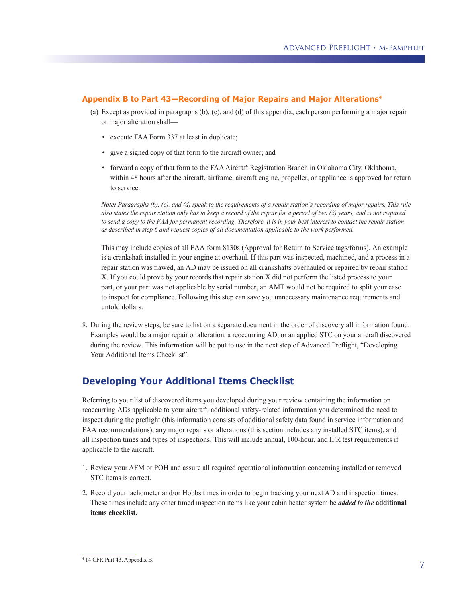## **Appendix B to Part 43—Recording of Major Repairs and Major Alterations4**

- (a) Except as provided in paragraphs (b), (c), and (d) of this appendix, each person performing a major repair or major alteration shall—
	- execute FAA Form 337 at least in duplicate;
	- give a signed copy of that form to the aircraft owner; and
	- forward a copy of that form to the FAA Aircraft Registration Branch in Oklahoma City, Oklahoma, within 48 hours after the aircraft, airframe, aircraft engine, propeller, or appliance is approved for return to service.

*Note: Paragraphs (b), (c), and (d) speak to the requirements of a repair station's recording of major repairs. This rule also states the repair station only has to keep a record of the repair for a period of two (2) years, and is not required to send a copy to the FAA for permanent recording. Therefore, it is in your best interest to contact the repair station as described in step 6 and request copies of all documentation applicable to the work performed.* 

This may include copies of all FAA form 8130s (Approval for Return to Service tags/forms). An example is a crankshaft installed in your engine at overhaul. If this part was inspected, machined, and a process in a repair station was flawed, an AD may be issued on all crankshafts overhauled or repaired by repair station X. If you could prove by your records that repair station X did not perform the listed process to your part, or your part was not applicable by serial number, an AMT would not be required to split your case to inspect for compliance. Following this step can save you unnecessary maintenance requirements and untold dollars.

8. During the review steps, be sure to list on a separate document in the order of discovery all information found. Examples would be a major repair or alteration, a reoccurring AD, or an applied STC on your aircraft discovered during the review. This information will be put to use in the next step of Advanced Preflight, "Developing Your Additional Items Checklist".

# **Developing Your Additional Items Checklist**

Referring to your list of discovered items you developed during your review containing the information on reoccurring ADs applicable to your aircraft, additional safety-related information you determined the need to inspect during the preflight (this information consists of additional safety data found in service information and FAA recommendations), any major repairs or alterations (this section includes any installed STC items), and all inspection times and types of inspections. This will include annual, 100-hour, and IFR test requirements if applicable to the aircraft.

- 1. Review your AFM or POH and assure all required operational information concerning installed or removed STC items is correct.
- 2. Record your tachometer and/or Hobbs times in order to begin tracking your next AD and inspection times. These times include any other timed inspection items like your cabin heater system be *added to the* **additional items checklist.**

<sup>4</sup> 14 CFR Part 43, Appendix B.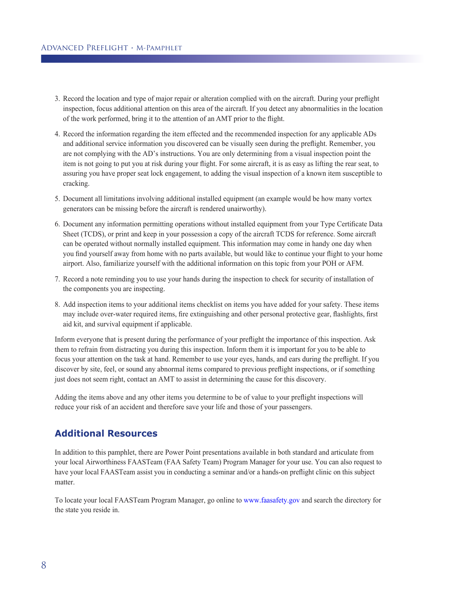- 3. Record the location and type of major repair or alteration complied with on the aircraft. During your preflight inspection, focus additional attention on this area of the aircraft. If you detect any abnormalities in the location of the work performed, bring it to the attention of an AMT prior to the flight.
- 4. Record the information regarding the item effected and the recommended inspection for any applicable ADs and additional service information you discovered can be visually seen during the preflight. Remember, you are not complying with the AD's instructions. You are only determining from a visual inspection point the item is not going to put you at risk during your flight. For some aircraft, it is as easy as lifting the rear seat, to assuring you have proper seat lock engagement, to adding the visual inspection of a known item susceptible to cracking.
- 5. Document all limitations involving additional installed equipment (an example would be how many vortex generators can be missing before the aircraft is rendered unairworthy).
- 6. Document any information permitting operations without installed equipment from your Type Certificate Data Sheet (TCDS), or print and keep in your possession a copy of the aircraft TCDS for reference. Some aircraft can be operated without normally installed equipment. This information may come in handy one day when you find yourself away from home with no parts available, but would like to continue your flight to your home airport. Also, familiarize yourself with the additional information on this topic from your POH or AFM.
- 7. Record a note reminding you to use your hands during the inspection to check for security of installation of the components you are inspecting.
- 8. Add inspection items to your additional items checklist on items you have added for your safety. These items may include over-water required items, fire extinguishing and other personal protective gear, flashlights, first aid kit, and survival equipment if applicable.

Inform everyone that is present during the performance of your preflight the importance of this inspection. Ask them to refrain from distracting you during this inspection. Inform them it is important for you to be able to focus your attention on the task at hand. Remember to use your eyes, hands, and ears during the preflight. If you discover by site, feel, or sound any abnormal items compared to previous preflight inspections, or if something just does not seem right, contact an AMT to assist in determining the cause for this discovery.

Adding the items above and any other items you determine to be of value to your preflight inspections will reduce your risk of an accident and therefore save your life and those of your passengers.

# **Additional Resources**

In addition to this pamphlet, there are Power Point presentations available in both standard and articulate from your local Airworthiness FAASTeam (FAA Safety Team) Program Manager for your use. You can also request to have your local FAASTeam assist you in conducting a seminar and/or a hands-on preflight clinic on this subject matter.

To locate your local FAASTeam Program Manager, go online to www.faasafety.gov and search the directory for the state you reside in.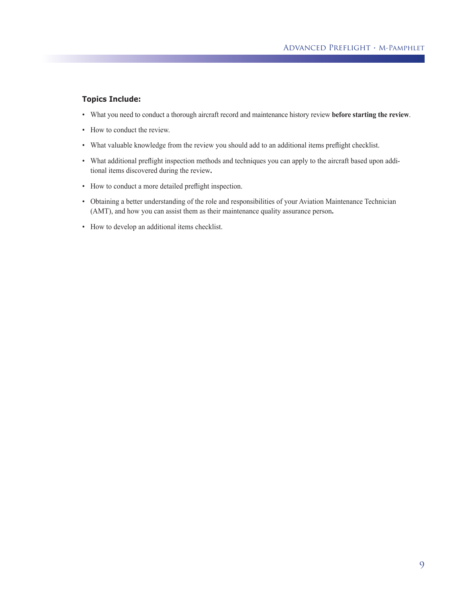### **Topics Include:**

- What you need to conduct a thorough aircraft record and maintenance history review **before starting the review**.
- How to conduct the review.
- What valuable knowledge from the review you should add to an additional items preflight checklist.
- What additional preflight inspection methods and techniques you can apply to the aircraft based upon additional items discovered during the review**.**
- How to conduct a more detailed preflight inspection.
- Obtaining a better understanding of the role and responsibilities of your Aviation Maintenance Technician (AMT), and how you can assist them as their maintenance quality assurance person**.**
- How to develop an additional items checklist.